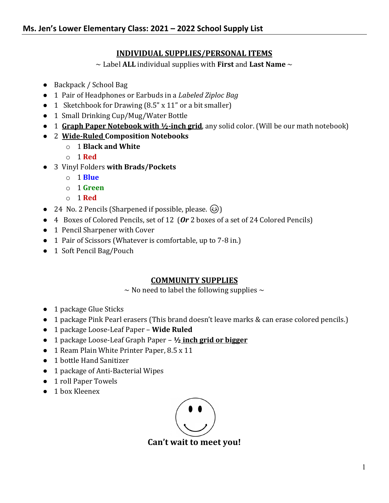# **INDIVIDUAL SUPPLIES/PERSONAL ITEMS**

~ Label **ALL** individual supplies with **First** and **Last Name** ~

- Backpack / School Bag
- 1 Pair of Headphones or Earbuds in a *Labeled Ziploc Bag*
- 1 Sketchbook for Drawing (8.5" x 11" or a bit smaller)
- 1 Small Drinking Cup/Mug/Water Bottle
- 1 **Graph Paper Notebook with ½-inch grid**, any solid color. (Will be our math notebook)
- 2 **Wide-Ruled Composition Notebooks**
	- o 1 **Black and White**
	- o 1 **Red**
- 3 Vinyl Folders **with Brads/Pockets**
	- o 1 **Blue**
	- o 1 **Green**
	- o 1 **Red**
- 24 No. 2 Pencils (Sharpened if possible, please.  $\circled{e}$ )
- 4 Boxes of Colored Pencils, set of 12 (*Or* 2 boxes of a set of 24 Colored Pencils)
- 1 Pencil Sharpener with Cover
- 1 Pair of Scissors (Whatever is comfortable, up to 7-8 in.)
- 1 Soft Pencil Bag/Pouch

## **COMMUNITY SUPPLIES**

 $\sim$  No need to label the following supplies  $\sim$ 

- 1 package Glue Sticks
- 1 package Pink Pearl erasers (This brand doesn't leave marks & can erase colored pencils.)
- 1 package Loose-Leaf Paper **Wide Ruled**
- 1 package Loose-Leaf Graph Paper **½ inch grid or bigger**
- 1 Ream Plain White Printer Paper, 8.5 x 11
- 1 bottle Hand Sanitizer
- 1 package of Anti-Bacterial Wipes
- 1 roll Paper Towels
- 1 box Kleenex



**Can't wait to meet you!**